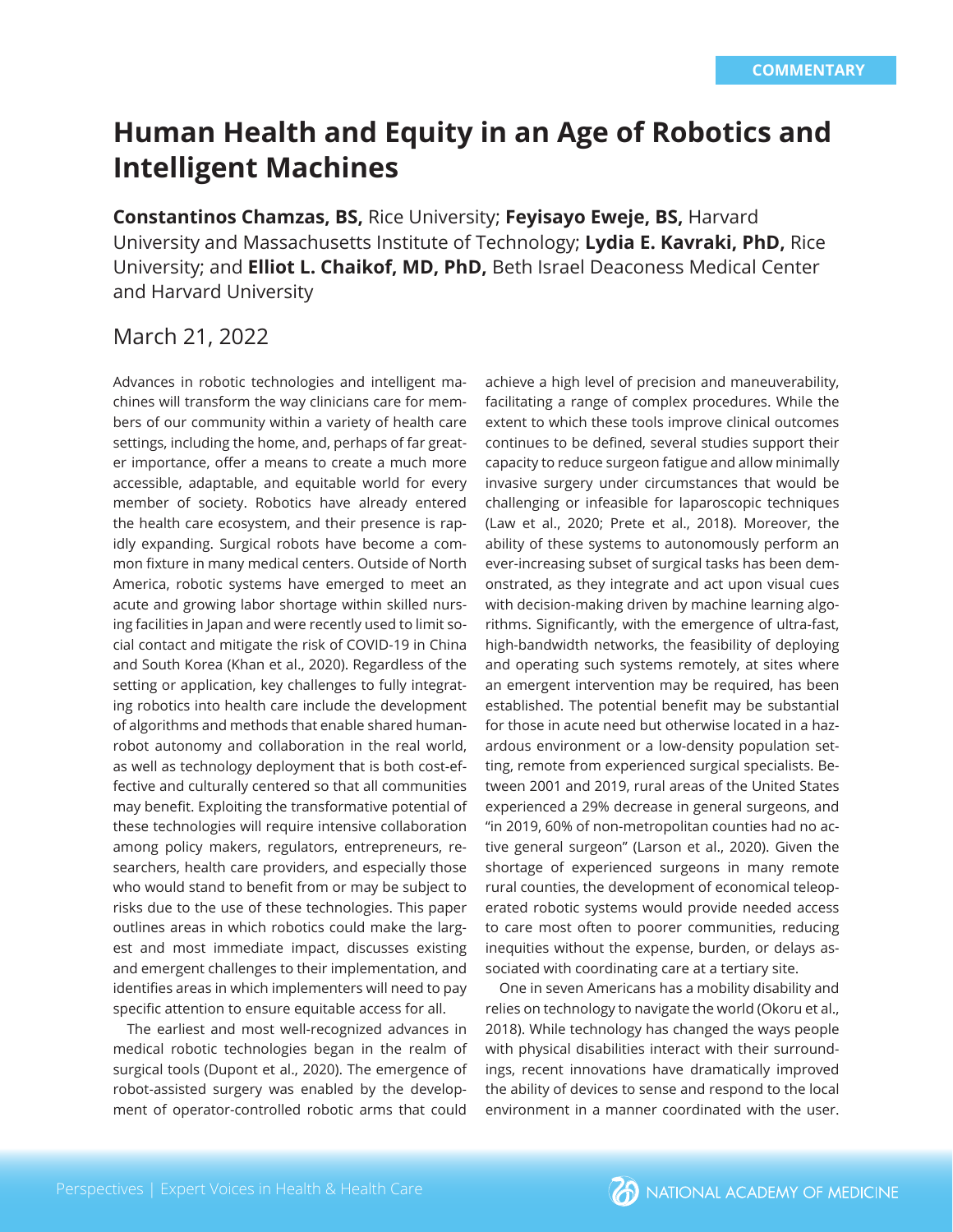# **Human Health and Equity in an Age of Robotics and Intelligent Machines**

**Constantinos Chamzas, BS,** Rice University; **Feyisayo Eweje, BS,** Harvard University and Massachusetts Institute of Technology; **Lydia E. Kavraki, PhD,** Rice University; and **Elliot L. Chaikof, MD, PhD,** Beth Israel Deaconess Medical Center and Harvard University

## March 21, 2022

Advances in robotic technologies and intelligent machines will transform the way clinicians care for members of our community within a variety of health care settings, including the home, and, perhaps of far greater importance, offer a means to create a much more accessible, adaptable, and equitable world for every member of society. Robotics have already entered the health care ecosystem, and their presence is rapidly expanding. Surgical robots have become a common fixture in many medical centers. Outside of North America, robotic systems have emerged to meet an acute and growing labor shortage within skilled nursing facilities in Japan and were recently used to limit social contact and mitigate the risk of COVID-19 in China and South Korea (Khan et al., 2020). Regardless of the setting or application, key challenges to fully integrating robotics into health care include the development of algorithms and methods that enable shared humanrobot autonomy and collaboration in the real world, as well as technology deployment that is both cost-effective and culturally centered so that all communities may benefit. Exploiting the transformative potential of these technologies will require intensive collaboration among policy makers, regulators, entrepreneurs, researchers, health care providers, and especially those who would stand to benefit from or may be subject to risks due to the use of these technologies. This paper outlines areas in which robotics could make the largest and most immediate impact, discusses existing and emergent challenges to their implementation, and identifies areas in which implementers will need to pay specific attention to ensure equitable access for all.

The earliest and most well-recognized advances in medical robotic technologies began in the realm of surgical tools (Dupont et al., 2020). The emergence of robot-assisted surgery was enabled by the development of operator-controlled robotic arms that could

achieve a high level of precision and maneuverability, facilitating a range of complex procedures. While the extent to which these tools improve clinical outcomes continues to be defined, several studies support their capacity to reduce surgeon fatigue and allow minimally invasive surgery under circumstances that would be challenging or infeasible for laparoscopic techniques (Law et al., 2020; Prete et al., 2018). Moreover, the ability of these systems to autonomously perform an ever-increasing subset of surgical tasks has been demonstrated, as they integrate and act upon visual cues with decision-making driven by machine learning algorithms. Significantly, with the emergence of ultra-fast, high-bandwidth networks, the feasibility of deploying and operating such systems remotely, at sites where an emergent intervention may be required, has been established. The potential benefit may be substantial for those in acute need but otherwise located in a hazardous environment or a low-density population setting, remote from experienced surgical specialists. Between 2001 and 2019, rural areas of the United States experienced a 29% decrease in general surgeons, and "in 2019, 60% of non-metropolitan counties had no active general surgeon" (Larson et al., 2020). Given the shortage of experienced surgeons in many remote rural counties, the development of economical teleoperated robotic systems would provide needed access to care most often to poorer communities, reducing inequities without the expense, burden, or delays associated with coordinating care at a tertiary site.

One in seven Americans has a mobility disability and relies on technology to navigate the world (Okoru et al., 2018). While technology has changed the ways people with physical disabilities interact with their surroundings, recent innovations have dramatically improved the ability of devices to sense and respond to the local environment in a manner coordinated with the user.

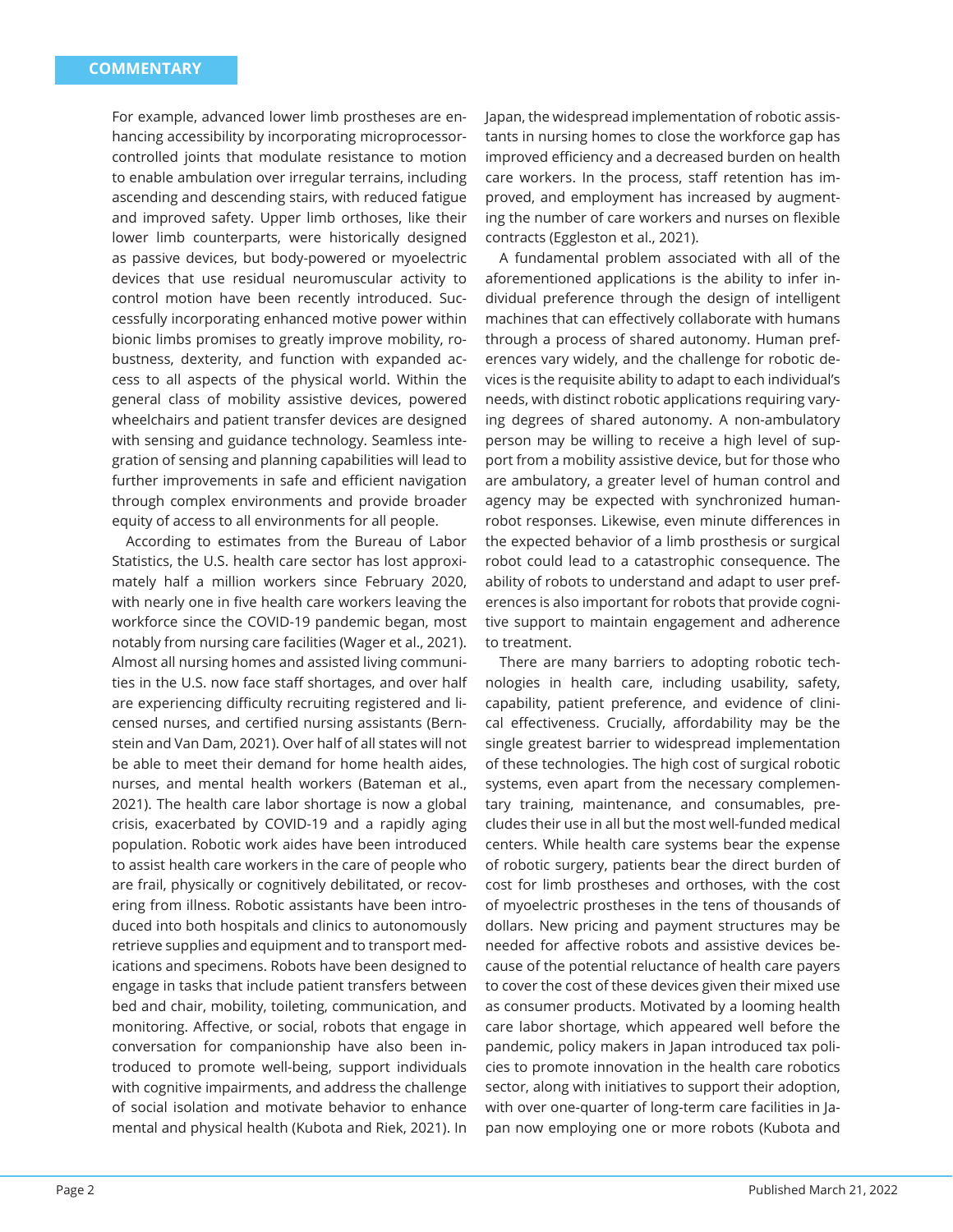For example, advanced lower limb prostheses are enhancing accessibility by incorporating microprocessorcontrolled joints that modulate resistance to motion to enable ambulation over irregular terrains, including ascending and descending stairs, with reduced fatigue and improved safety. Upper limb orthoses, like their lower limb counterparts, were historically designed as passive devices, but body-powered or myoelectric devices that use residual neuromuscular activity to control motion have been recently introduced. Successfully incorporating enhanced motive power within bionic limbs promises to greatly improve mobility, robustness, dexterity, and function with expanded access to all aspects of the physical world. Within the general class of mobility assistive devices, powered wheelchairs and patient transfer devices are designed with sensing and guidance technology. Seamless integration of sensing and planning capabilities will lead to further improvements in safe and efficient navigation through complex environments and provide broader equity of access to all environments for all people.

According to estimates from the Bureau of Labor Statistics, the U.S. health care sector has lost approximately half a million workers since February 2020, with nearly one in five health care workers leaving the workforce since the COVID-19 pandemic began, most notably from nursing care facilities (Wager et al., 2021). Almost all nursing homes and assisted living communities in the U.S. now face staff shortages, and over half are experiencing difficulty recruiting registered and licensed nurses, and certified nursing assistants (Bernstein and Van Dam, 2021). Over half of all states will not be able to meet their demand for home health aides, nurses, and mental health workers (Bateman et al., 2021). The health care labor shortage is now a global crisis, exacerbated by COVID-19 and a rapidly aging population. Robotic work aides have been introduced to assist health care workers in the care of people who are frail, physically or cognitively debilitated, or recovering from illness. Robotic assistants have been introduced into both hospitals and clinics to autonomously retrieve supplies and equipment and to transport medications and specimens. Robots have been designed to engage in tasks that include patient transfers between bed and chair, mobility, toileting, communication, and monitoring. Affective, or social, robots that engage in conversation for companionship have also been introduced to promote well-being, support individuals with cognitive impairments, and address the challenge of social isolation and motivate behavior to enhance mental and physical health (Kubota and Riek, 2021). In

Japan, the widespread implementation of robotic assistants in nursing homes to close the workforce gap has improved efficiency and a decreased burden on health care workers. In the process, staff retention has improved, and employment has increased by augmenting the number of care workers and nurses on flexible contracts (Eggleston et al., 2021).

A fundamental problem associated with all of the aforementioned applications is the ability to infer individual preference through the design of intelligent machines that can effectively collaborate with humans through a process of shared autonomy. Human preferences vary widely, and the challenge for robotic devices is the requisite ability to adapt to each individual's needs, with distinct robotic applications requiring varying degrees of shared autonomy. A non-ambulatory person may be willing to receive a high level of support from a mobility assistive device, but for those who are ambulatory, a greater level of human control and agency may be expected with synchronized humanrobot responses. Likewise, even minute differences in the expected behavior of a limb prosthesis or surgical robot could lead to a catastrophic consequence. The ability of robots to understand and adapt to user preferences is also important for robots that provide cognitive support to maintain engagement and adherence to treatment.

There are many barriers to adopting robotic technologies in health care, including usability, safety, capability, patient preference, and evidence of clinical effectiveness. Crucially, affordability may be the single greatest barrier to widespread implementation of these technologies. The high cost of surgical robotic systems, even apart from the necessary complementary training, maintenance, and consumables, precludes their use in all but the most well-funded medical centers. While health care systems bear the expense of robotic surgery, patients bear the direct burden of cost for limb prostheses and orthoses, with the cost of myoelectric prostheses in the tens of thousands of dollars. New pricing and payment structures may be needed for affective robots and assistive devices because of the potential reluctance of health care payers to cover the cost of these devices given their mixed use as consumer products. Motivated by a looming health care labor shortage, which appeared well before the pandemic, policy makers in Japan introduced tax policies to promote innovation in the health care robotics sector, along with initiatives to support their adoption, with over one-quarter of long-term care facilities in Japan now employing one or more robots (Kubota and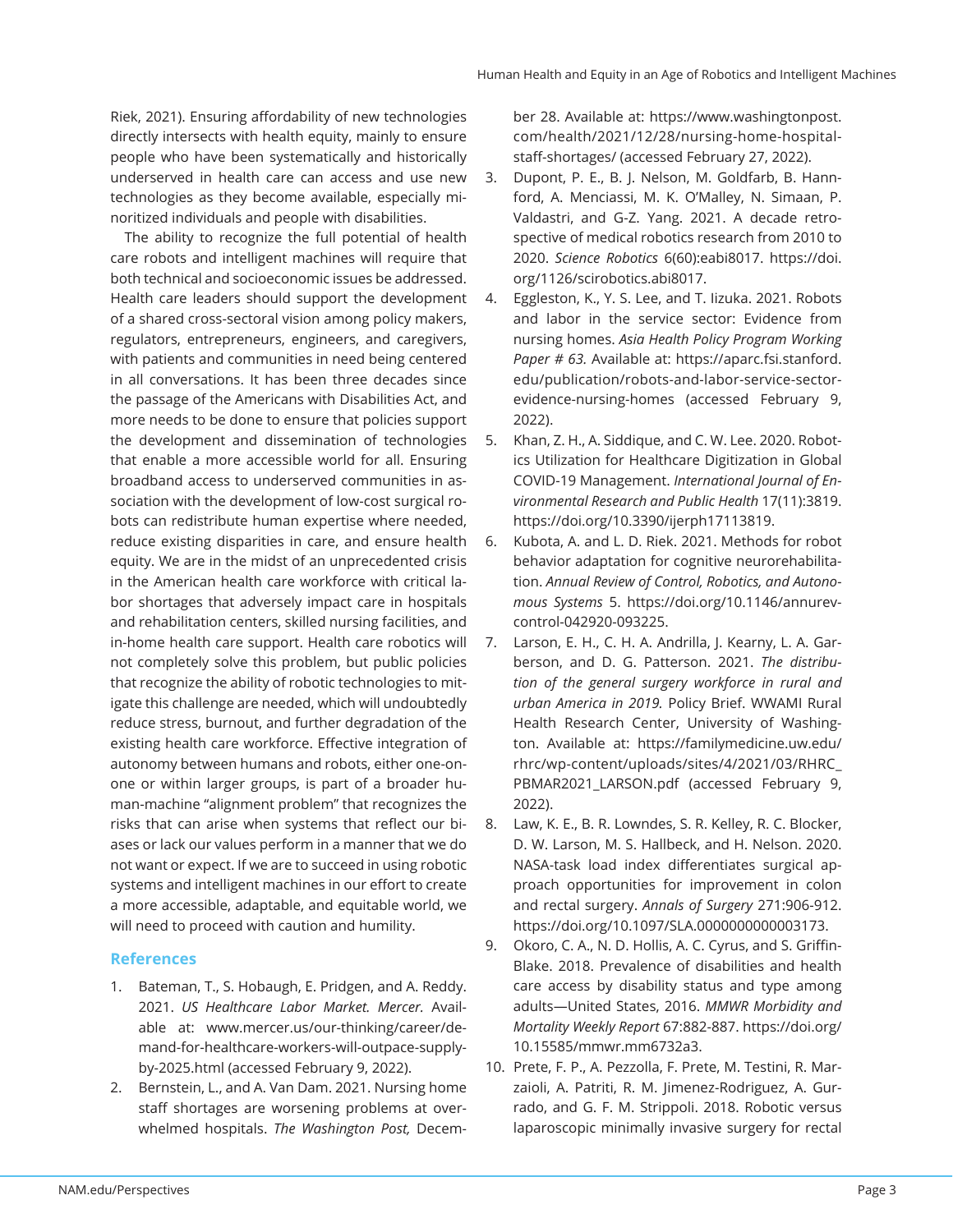Riek, 2021). Ensuring affordability of new technologies directly intersects with health equity, mainly to ensure people who have been systematically and historically underserved in health care can access and use new technologies as they become available, especially minoritized individuals and people with disabilities.

The ability to recognize the full potential of health care robots and intelligent machines will require that both technical and socioeconomic issues be addressed. Health care leaders should support the development of a shared cross-sectoral vision among policy makers, regulators, entrepreneurs, engineers, and caregivers, with patients and communities in need being centered in all conversations. It has been three decades since the passage of the Americans with Disabilities Act, and more needs to be done to ensure that policies support the development and dissemination of technologies that enable a more accessible world for all. Ensuring broadband access to underserved communities in association with the development of low-cost surgical robots can redistribute human expertise where needed, reduce existing disparities in care, and ensure health equity. We are in the midst of an unprecedented crisis in the American health care workforce with critical labor shortages that adversely impact care in hospitals and rehabilitation centers, skilled nursing facilities, and in-home health care support. Health care robotics will not completely solve this problem, but public policies that recognize the ability of robotic technologies to mitigate this challenge are needed, which will undoubtedly reduce stress, burnout, and further degradation of the existing health care workforce. Effective integration of autonomy between humans and robots, either one-onone or within larger groups, is part of a broader human-machine "alignment problem" that recognizes the risks that can arise when systems that reflect our biases or lack our values perform in a manner that we do not want or expect. If we are to succeed in using robotic systems and intelligent machines in our effort to create a more accessible, adaptable, and equitable world, we will need to proceed with caution and humility.

### **References**

- 1. Bateman, T., S. Hobaugh, E. Pridgen, and A. Reddy. 2021. *US Healthcare Labor Market. Mercer.* Available at: www.mercer.us/our-thinking/career/demand-for-healthcare-workers-will-outpace-supplyby-2025.html (accessed February 9, 2022).
- 2. Bernstein, L., and A. Van Dam. 2021. Nursing home staff shortages are worsening problems at overwhelmed hospitals. *The Washington Post,* Decem-

ber 28. Available at: https://www.washingtonpost. com/health/2021/12/28/nursing-home-hospitalstaff-shortages/ (accessed February 27, 2022).

- 3. Dupont, P. E., B. J. Nelson, M. Goldfarb, B. Hannford, A. Menciassi, M. K. O'Malley, N. Simaan, P. Valdastri, and G-Z. Yang. 2021. A decade retrospective of medical robotics research from 2010 to 2020. *Science Robotics* 6(60):eabi8017. https://doi. org/1126/scirobotics.abi8017.
- 4. Eggleston, K., Y. S. Lee, and T. Iizuka. 2021. Robots and labor in the service sector: Evidence from nursing homes. *Asia Health Policy Program Working Paper # 63.* Available at: https://aparc.fsi.stanford. edu/publication/robots-and-labor-service-sectorevidence-nursing-homes (accessed February 9, 2022).
- 5. Khan, Z. H., A. Siddique, and C. W. Lee. 2020. Robotics Utilization for Healthcare Digitization in Global COVID-19 Management. *International Journal of Environmental Research and Public Health* 17(11):3819. https://doi.org/10.3390/ijerph17113819.
- 6. Kubota, A. and L. D. Riek. 2021. Methods for robot behavior adaptation for cognitive neurorehabilitation. *Annual Review of Control, Robotics, and Autonomous Systems* 5. https://doi.org/10.1146/annurevcontrol-042920-093225.
- 7. Larson, E. H., C. H. A. Andrilla, J. Kearny, L. A. Garberson, and D. G. Patterson. 2021. *The distribution of the general surgery workforce in rural and urban America in 2019.* Policy Brief. WWAMI Rural Health Research Center, University of Washington. Available at: https://familymedicine.uw.edu/ rhrc/wp-content/uploads/sites/4/2021/03/RHRC\_ PBMAR2021 LARSON.pdf (accessed February 9, 2022).
- 8. Law, K. E., B. R. Lowndes, S. R. Kelley, R. C. Blocker, D. W. Larson, M. S. Hallbeck, and H. Nelson. 2020. NASA-task load index differentiates surgical approach opportunities for improvement in colon and rectal surgery. *Annals of Surgery* 271:906-912. https://doi.org/10.1097/SLA.0000000000003173.
- 9. Okoro, C. A., N. D. Hollis, A. C. Cyrus, and S. Griffin-Blake. 2018. Prevalence of disabilities and health care access by disability status and type among adults—United States, 2016. *MMWR Morbidity and Mortality Weekly Report* 67:882-887. https://doi.org/ 10.15585/mmwr.mm6732a3.
- 10. Prete, F. P., A. Pezzolla, F. Prete, M. Testini, R. Marzaioli, A. Patriti, R. M. Jimenez-Rodriguez, A. Gurrado, and G. F. M. Strippoli. 2018. Robotic versus laparoscopic minimally invasive surgery for rectal